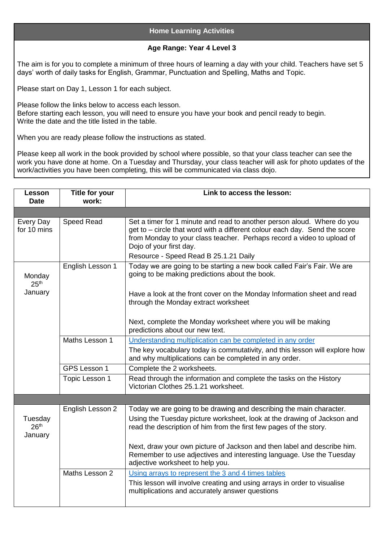## **Home Learning Activities**

## **Age Range: Year 4 Level 3**

The aim is for you to complete a minimum of three hours of learning a day with your child. Teachers have set 5 days' worth of daily tasks for English, Grammar, Punctuation and Spelling, Maths and Topic.

Please start on Day 1, Lesson 1 for each subject.

Please follow the links below to access each lesson. Before starting each lesson, you will need to ensure you have your book and pencil ready to begin. Write the date and the title listed in the table.

When you are ready please follow the instructions as stated.

Please keep all work in the book provided by school where possible, so that your class teacher can see the work you have done at home. On a Tuesday and Thursday, your class teacher will ask for photo updates of the work/activities you have been completing, this will be communicated via class dojo.

| Lesson<br><b>Date</b>                  | Title for your<br>work: | Link to access the lesson:                                                                                                                                                                                                                                                                          |
|----------------------------------------|-------------------------|-----------------------------------------------------------------------------------------------------------------------------------------------------------------------------------------------------------------------------------------------------------------------------------------------------|
|                                        |                         |                                                                                                                                                                                                                                                                                                     |
| Every Day<br>for 10 mins               | Speed Read              | Set a timer for 1 minute and read to another person aloud. Where do you<br>get to - circle that word with a different colour each day. Send the score<br>from Monday to your class teacher. Perhaps record a video to upload of<br>Dojo of your first day.<br>Resource - Speed Read B 25.1.21 Daily |
|                                        | English Lesson 1        | Today we are going to be starting a new book called Fair's Fair. We are                                                                                                                                                                                                                             |
| Monday<br>25 <sup>th</sup>             |                         | going to be making predictions about the book.                                                                                                                                                                                                                                                      |
| January                                |                         | Have a look at the front cover on the Monday Information sheet and read<br>through the Monday extract worksheet                                                                                                                                                                                     |
|                                        |                         | Next, complete the Monday worksheet where you will be making<br>predictions about our new text.                                                                                                                                                                                                     |
|                                        | Maths Lesson 1          | Understanding multiplication can be completed in any order                                                                                                                                                                                                                                          |
|                                        |                         | The key vocabulary today is commutativity, and this lesson will explore how<br>and why multiplications can be completed in any order.                                                                                                                                                               |
|                                        | <b>GPS Lesson 1</b>     | Complete the 2 worksheets.                                                                                                                                                                                                                                                                          |
|                                        | Topic Lesson 1          | Read through the information and complete the tasks on the History<br>Victorian Clothes 25.1.21 worksheet.                                                                                                                                                                                          |
|                                        |                         |                                                                                                                                                                                                                                                                                                     |
|                                        | English Lesson 2        | Today we are going to be drawing and describing the main character.                                                                                                                                                                                                                                 |
| Tuesday<br>26 <sup>th</sup><br>January |                         | Using the Tuesday picture worksheet, look at the drawing of Jackson and<br>read the description of him from the first few pages of the story.                                                                                                                                                       |
|                                        |                         | Next, draw your own picture of Jackson and then label and describe him.<br>Remember to use adjectives and interesting language. Use the Tuesday<br>adjective worksheet to help you.                                                                                                                 |
|                                        | Maths Lesson 2          | Using arrays to represent the 3 and 4 times tables<br>This lesson will involve creating and using arrays in order to visualise<br>multiplications and accurately answer questions                                                                                                                   |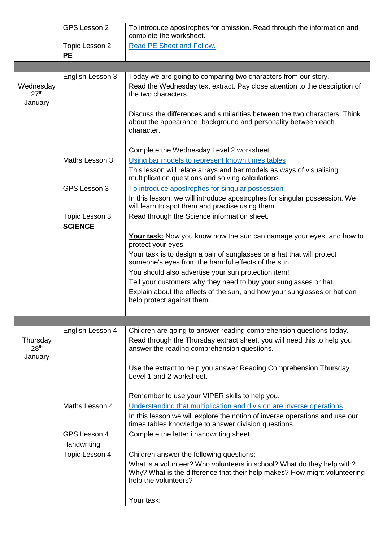|                                          | GPS Lesson 2                     | To introduce apostrophes for omission. Read through the information and<br>complete the worksheet.                                                                                            |
|------------------------------------------|----------------------------------|-----------------------------------------------------------------------------------------------------------------------------------------------------------------------------------------------|
|                                          | Topic Lesson 2                   | Read PE Sheet and Follow.                                                                                                                                                                     |
|                                          | <b>PE</b>                        |                                                                                                                                                                                               |
|                                          |                                  |                                                                                                                                                                                               |
|                                          | English Lesson 3                 | Today we are going to comparing two characters from our story.                                                                                                                                |
| Wednesday<br>27 <sup>th</sup><br>January |                                  | Read the Wednesday text extract. Pay close attention to the description of<br>the two characters.                                                                                             |
|                                          |                                  |                                                                                                                                                                                               |
|                                          |                                  | Discuss the differences and similarities between the two characters. Think<br>about the appearance, background and personality between each<br>character.                                     |
|                                          |                                  | Complete the Wednesday Level 2 worksheet.                                                                                                                                                     |
|                                          | Maths Lesson 3                   | Using bar models to represent known times tables                                                                                                                                              |
|                                          |                                  | This lesson will relate arrays and bar models as ways of visualising<br>multiplication questions and solving calculations.                                                                    |
|                                          | GPS Lesson 3                     | To introduce apostrophes for singular possession                                                                                                                                              |
|                                          |                                  | In this lesson, we will introduce apostrophes for singular possession. We<br>will learn to spot them and practise using them.                                                                 |
|                                          | Topic Lesson 3<br><b>SCIENCE</b> | Read through the Science information sheet.                                                                                                                                                   |
|                                          |                                  | Your task: Now you know how the sun can damage your eyes, and how to<br>protect your eyes.                                                                                                    |
|                                          |                                  | Your task is to design a pair of sunglasses or a hat that will protect<br>someone's eyes from the harmful effects of the sun.                                                                 |
|                                          |                                  | You should also advertise your sun protection item!                                                                                                                                           |
|                                          |                                  | Tell your customers why they need to buy your sunglasses or hat.                                                                                                                              |
|                                          |                                  | Explain about the effects of the sun, and how your sunglasses or hat can<br>help protect against them.                                                                                        |
|                                          |                                  |                                                                                                                                                                                               |
|                                          |                                  |                                                                                                                                                                                               |
| Thursday<br>28 <sup>th</sup><br>January  | English Lesson 4                 | Children are going to answer reading comprehension questions today.<br>Read through the Thursday extract sheet, you will need this to help you<br>answer the reading comprehension questions. |
|                                          |                                  | Use the extract to help you answer Reading Comprehension Thursday<br>Level 1 and 2 worksheet.                                                                                                 |
|                                          |                                  | Remember to use your VIPER skills to help you.                                                                                                                                                |
|                                          | Maths Lesson 4                   | Understanding that multiplication and division are inverse operations                                                                                                                         |
|                                          |                                  | In this lesson we will explore the notion of inverse operations and use our<br>times tables knowledge to answer division questions.                                                           |
|                                          | GPS Lesson 4<br>Handwriting      | Complete the letter i handwriting sheet.                                                                                                                                                      |
|                                          | Topic Lesson 4                   | Children answer the following questions:                                                                                                                                                      |
|                                          |                                  | What is a volunteer? Who volunteers in school? What do they help with?<br>Why? What is the difference that their help makes? How might volunteering<br>help the volunteers?                   |
|                                          |                                  | Your task:                                                                                                                                                                                    |